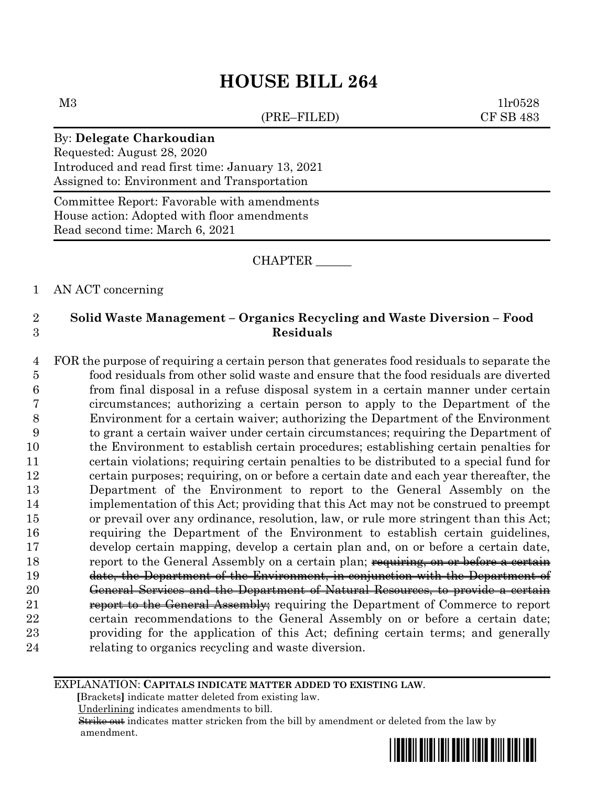# **HOUSE BILL 264**

(PRE–FILED) CF SB 483

 $M3$  1lr0528

## By: **Delegate Charkoudian**

Requested: August 28, 2020 Introduced and read first time: January 13, 2021 Assigned to: Environment and Transportation

Committee Report: Favorable with amendments House action: Adopted with floor amendments Read second time: March 6, 2021

### CHAPTER \_\_\_\_\_\_

## 1 AN ACT concerning

## 2 **Solid Waste Management – Organics Recycling and Waste Diversion – Food**  3 **Residuals**

 FOR the purpose of requiring a certain person that generates food residuals to separate the food residuals from other solid waste and ensure that the food residuals are diverted from final disposal in a refuse disposal system in a certain manner under certain circumstances; authorizing a certain person to apply to the Department of the Environment for a certain waiver; authorizing the Department of the Environment to grant a certain waiver under certain circumstances; requiring the Department of the Environment to establish certain procedures; establishing certain penalties for certain violations; requiring certain penalties to be distributed to a special fund for certain purposes; requiring, on or before a certain date and each year thereafter, the Department of the Environment to report to the General Assembly on the implementation of this Act; providing that this Act may not be construed to preempt or prevail over any ordinance, resolution, law, or rule more stringent than this Act; requiring the Department of the Environment to establish certain guidelines, develop certain mapping, develop a certain plan and, on or before a certain date, 18 report to the General Assembly on a certain plan; requiring, on or before a certain date, the Department of the Environment, in conjunction with the Department of General Services and the Department of Natural Resources, to provide a certain **report to the General Assembly**; requiring the Department of Commerce to report certain recommendations to the General Assembly on or before a certain date; providing for the application of this Act; defining certain terms; and generally relating to organics recycling and waste diversion.

#### EXPLANATION: **CAPITALS INDICATE MATTER ADDED TO EXISTING LAW**.

 **[**Brackets**]** indicate matter deleted from existing law.

Underlining indicates amendments to bill.

 Strike out indicates matter stricken from the bill by amendment or deleted from the law by amendment.

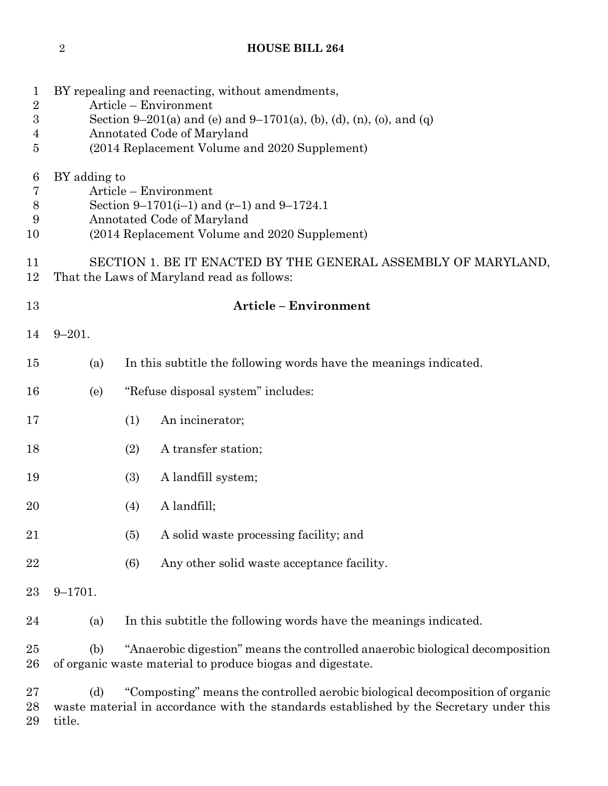## **HOUSE BILL 264**

| $\mathbf 1$                    | BY repealing and reenacting, without amendments,                                                                                                                     |                                                                                                                                                                          |  |  |  |
|--------------------------------|----------------------------------------------------------------------------------------------------------------------------------------------------------------------|--------------------------------------------------------------------------------------------------------------------------------------------------------------------------|--|--|--|
| $\sqrt{2}$<br>$\boldsymbol{3}$ | Article - Environment<br>Section 9–201(a) and (e) and 9–1701(a), (b), (d), (n), (o), and (q)                                                                         |                                                                                                                                                                          |  |  |  |
| 4                              | Annotated Code of Maryland                                                                                                                                           |                                                                                                                                                                          |  |  |  |
| 5                              | (2014 Replacement Volume and 2020 Supplement)                                                                                                                        |                                                                                                                                                                          |  |  |  |
| 6<br>7<br>8<br>9<br>10         | BY adding to<br>Article – Environment<br>Section 9–1701(i–1) and $(r-1)$ and 9–1724.1<br>Annotated Code of Maryland<br>(2014 Replacement Volume and 2020 Supplement) |                                                                                                                                                                          |  |  |  |
| 11<br>12                       | SECTION 1. BE IT ENACTED BY THE GENERAL ASSEMBLY OF MARYLAND,<br>That the Laws of Maryland read as follows:                                                          |                                                                                                                                                                          |  |  |  |
| 13                             | <b>Article - Environment</b>                                                                                                                                         |                                                                                                                                                                          |  |  |  |
| 14                             | $9 - 201.$                                                                                                                                                           |                                                                                                                                                                          |  |  |  |
| 15                             | (a)                                                                                                                                                                  | In this subtitle the following words have the meanings indicated.                                                                                                        |  |  |  |
| 16                             | (e)                                                                                                                                                                  | "Refuse disposal system" includes:                                                                                                                                       |  |  |  |
| 17                             |                                                                                                                                                                      | (1)<br>An incinerator;                                                                                                                                                   |  |  |  |
| 18                             |                                                                                                                                                                      | (2)<br>A transfer station;                                                                                                                                               |  |  |  |
| 19                             |                                                                                                                                                                      | (3)<br>A landfill system;                                                                                                                                                |  |  |  |
| 20                             |                                                                                                                                                                      | A landfill;<br>(4)                                                                                                                                                       |  |  |  |
| 21                             |                                                                                                                                                                      | A solid waste processing facility; and<br>(5)                                                                                                                            |  |  |  |
| 22                             |                                                                                                                                                                      | (6)<br>Any other solid waste acceptance facility.                                                                                                                        |  |  |  |
| 23                             | $9 - 1701.$                                                                                                                                                          |                                                                                                                                                                          |  |  |  |
| 24                             | (a)                                                                                                                                                                  | In this subtitle the following words have the meanings indicated.                                                                                                        |  |  |  |
| 25<br>26                       | "Anaerobic digestion" means the controlled anaerobic biological decomposition<br>(b)<br>of organic waste material to produce biogas and digestate.                   |                                                                                                                                                                          |  |  |  |
| 27<br>28                       | (d)                                                                                                                                                                  | "Composting" means the controlled aerobic biological decomposition of organic<br>waste material in accordance with the standards established by the Secretary under this |  |  |  |

title.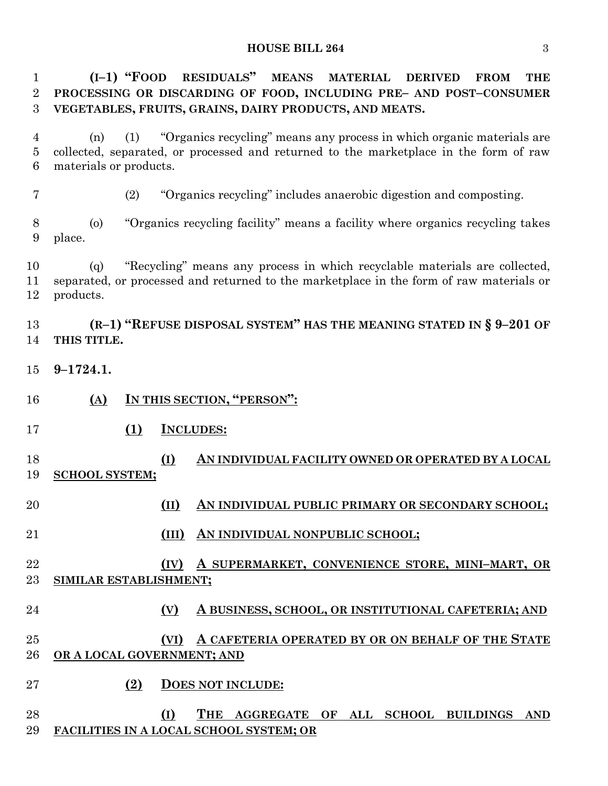#### **HOUSE BILL 264** 3

 **(I–1) "FOOD RESIDUALS" MEANS MATERIAL DERIVED FROM THE PROCESSING OR DISCARDING OF FOOD, INCLUDING PRE– AND POST–CONSUMER VEGETABLES, FRUITS, GRAINS, DAIRY PRODUCTS, AND MEATS.**

 (n) (1) "Organics recycling" means any process in which organic materials are collected, separated, or processed and returned to the marketplace in the form of raw materials or products.

(2) "Organics recycling" includes anaerobic digestion and composting.

 (o) "Organics recycling facility" means a facility where organics recycling takes place.

 (q) "Recycling" means any process in which recyclable materials are collected, separated, or processed and returned to the marketplace in the form of raw materials or products.

 **(R–1) "REFUSE DISPOSAL SYSTEM" HAS THE MEANING STATED IN § 9–201 OF THIS TITLE.**

- **9–1724.1.**
- **(A) IN THIS SECTION, "PERSON":**
- **(1) INCLUDES:**
- **(I) AN INDIVIDUAL FACILITY OWNED OR OPERATED BY A LOCAL SCHOOL SYSTEM;**
- **(II) AN INDIVIDUAL PUBLIC PRIMARY OR SECONDARY SCHOOL;**
- **(III) AN INDIVIDUAL NONPUBLIC SCHOOL;**
- **(IV) A SUPERMARKET, CONVENIENCE STORE, MINI–MART, OR SIMILAR ESTABLISHMENT;**
- **(V) A BUSINESS, SCHOOL, OR INSTITUTIONAL CAFETERIA; AND**
- **(VI) A CAFETERIA OPERATED BY OR ON BEHALF OF THE STATE OR A LOCAL GOVERNMENT; AND**
- **(2) DOES NOT INCLUDE:**
- **(I) THE AGGREGATE OF ALL SCHOOL BUILDINGS AND FACILITIES IN A LOCAL SCHOOL SYSTEM; OR**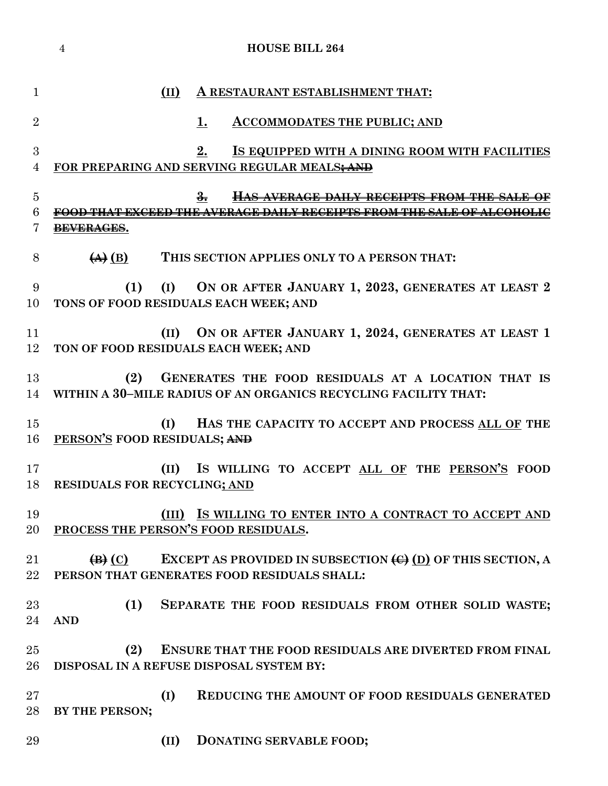|                     | 4                                                   | <b>HOUSE BILL 264</b>                                                                                                       |
|---------------------|-----------------------------------------------------|-----------------------------------------------------------------------------------------------------------------------------|
| $\mathbf{1}$        | (II)                                                | A RESTAURANT ESTABLISHMENT THAT:                                                                                            |
| $\overline{2}$      |                                                     | 1.<br><b>ACCOMMODATES THE PUBLIC; AND</b>                                                                                   |
| 3<br>$\overline{4}$ |                                                     | 2.<br>IS EQUIPPED WITH A DINING ROOM WITH FACILITIES<br>FOR PREPARING AND SERVING REGULAR MEALS; AND                        |
|                     |                                                     |                                                                                                                             |
| $\overline{5}$<br>6 |                                                     | $\frac{3}{2}$<br>HAS AVERAGE DAILY RECEIPTS FROM THE SALE OF<br>AVERAGE DAILY RECEIPTS FROM THE SALE OF ALCOHOLIC           |
| 7                   | <del>BEVERAGES</del> .                              |                                                                                                                             |
| 8                   | $\left(\mathbf{A}\right)$ (B)                       | THIS SECTION APPLIES ONLY TO A PERSON THAT:                                                                                 |
| 9<br>10             | (1)<br>(I)<br>TONS OF FOOD RESIDUALS EACH WEEK; AND | ON OR AFTER JANUARY 1, 2023, GENERATES AT LEAST 2                                                                           |
| 11<br>12            | (II)<br>TON OF FOOD RESIDUALS EACH WEEK; AND        | ON OR AFTER JANUARY 1, 2024, GENERATES AT LEAST 1                                                                           |
| 13<br>14            | (2)                                                 | GENERATES THE FOOD RESIDUALS AT A LOCATION THAT IS<br>WITHIN A 30-MILE RADIUS OF AN ORGANICS RECYCLING FACILITY THAT:       |
| 15<br>16            | (I)<br>PERSON'S FOOD RESIDUALS; AND                 | HAS THE CAPACITY TO ACCEPT AND PROCESS ALL OF THE                                                                           |
| 17                  | (II)<br>18 RESIDUALS FOR RECYCLING; AND             | IS WILLING TO ACCEPT ALL OF THE PERSON'S FOOD                                                                               |
| 19<br>20            | PROCESS THE PERSON'S FOOD RESIDUALS.                | (III) IS WILLING TO ENTER INTO A CONTRACT TO ACCEPT AND                                                                     |
| 21<br>22            | $\left(\mathbf{B}\right)\left(\mathbf{C}\right)$    | EXCEPT AS PROVIDED IN SUBSECTION $\left(\bigoplus\right)$ OF THIS SECTION, A<br>PERSON THAT GENERATES FOOD RESIDUALS SHALL: |
| 23<br>24            | (1)<br><b>AND</b>                                   | SEPARATE THE FOOD RESIDUALS FROM OTHER SOLID WASTE;                                                                         |
| 25<br>26            | (2)                                                 | <b>ENSURE THAT THE FOOD RESIDUALS ARE DIVERTED FROM FINAL</b><br>DISPOSAL IN A REFUSE DISPOSAL SYSTEM BY:                   |
| 27<br>28            | (I)<br>BY THE PERSON;                               | <b>REDUCING THE AMOUNT OF FOOD RESIDUALS GENERATED</b>                                                                      |
| 29                  | (II)                                                | DONATING SERVABLE FOOD;                                                                                                     |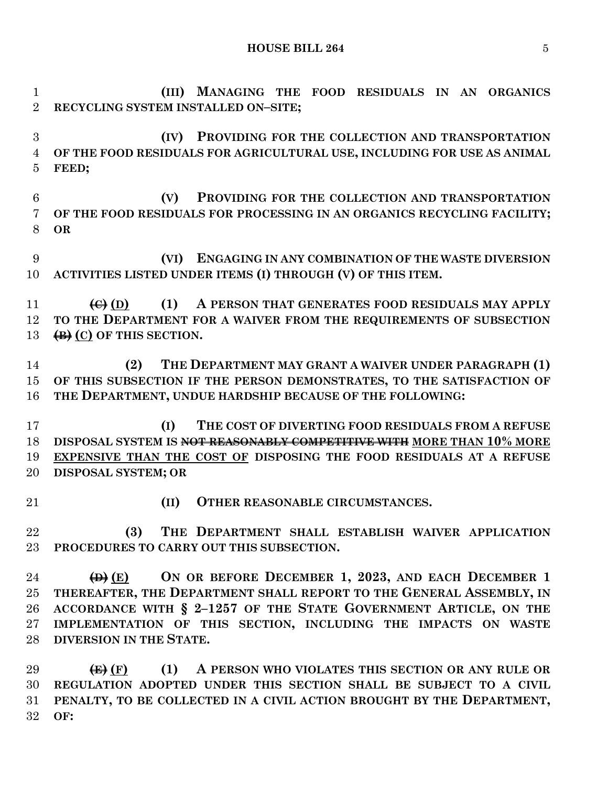**HOUSE BILL 264** 5

 **(III) MANAGING THE FOOD RESIDUALS IN AN ORGANICS RECYCLING SYSTEM INSTALLED ON–SITE; (IV) PROVIDING FOR THE COLLECTION AND TRANSPORTATION OF THE FOOD RESIDUALS FOR AGRICULTURAL USE, INCLUDING FOR USE AS ANIMAL FEED; (V) PROVIDING FOR THE COLLECTION AND TRANSPORTATION OF THE FOOD RESIDUALS FOR PROCESSING IN AN ORGANICS RECYCLING FACILITY; OR (VI) ENGAGING IN ANY COMBINATION OF THE WASTE DIVERSION ACTIVITIES LISTED UNDER ITEMS (I) THROUGH (V) OF THIS ITEM. (C) (D) (1) A PERSON THAT GENERATES FOOD RESIDUALS MAY APPLY TO THE DEPARTMENT FOR A WAIVER FROM THE REQUIREMENTS OF SUBSECTION (B) (C) OF THIS SECTION. (2) THE DEPARTMENT MAY GRANT A WAIVER UNDER PARAGRAPH (1) OF THIS SUBSECTION IF THE PERSON DEMONSTRATES, TO THE SATISFACTION OF THE DEPARTMENT, UNDUE HARDSHIP BECAUSE OF THE FOLLOWING: (I) THE COST OF DIVERTING FOOD RESIDUALS FROM A REFUSE DISPOSAL SYSTEM IS NOT REASONABLY COMPETITIVE WITH MORE THAN 10% MORE EXPENSIVE THAN THE COST OF DISPOSING THE FOOD RESIDUALS AT A REFUSE DISPOSAL SYSTEM; OR (II) OTHER REASONABLE CIRCUMSTANCES. (3) THE DEPARTMENT SHALL ESTABLISH WAIVER APPLICATION PROCEDURES TO CARRY OUT THIS SUBSECTION. (D) (E) ON OR BEFORE DECEMBER 1, 2023, AND EACH DECEMBER 1 THEREAFTER, THE DEPARTMENT SHALL REPORT TO THE GENERAL ASSEMBLY, IN ACCORDANCE WITH § 2–1257 OF THE STATE GOVERNMENT ARTICLE, ON THE IMPLEMENTATION OF THIS SECTION, INCLUDING THE IMPACTS ON WASTE DIVERSION IN THE STATE. (E) (F) (1) A PERSON WHO VIOLATES THIS SECTION OR ANY RULE OR REGULATION ADOPTED UNDER THIS SECTION SHALL BE SUBJECT TO A CIVIL PENALTY, TO BE COLLECTED IN A CIVIL ACTION BROUGHT BY THE DEPARTMENT,**

**OF:**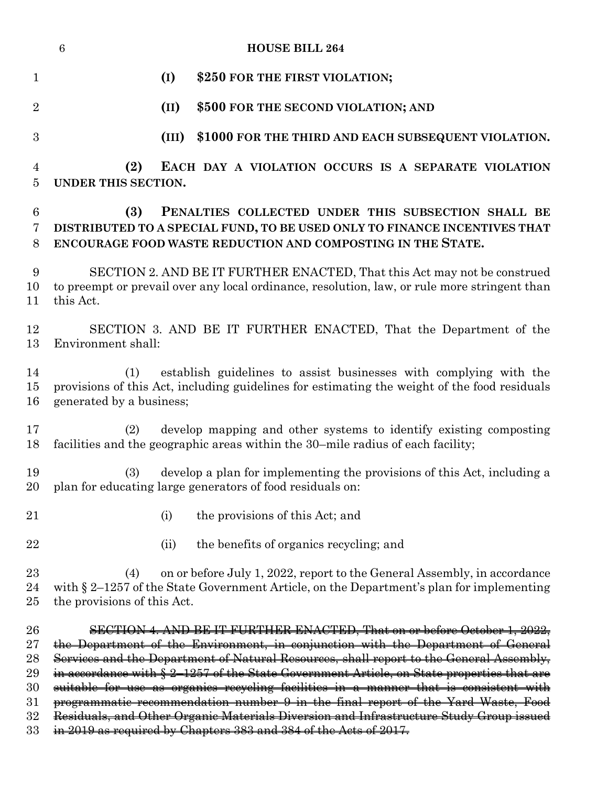|                     | <b>HOUSE BILL 264</b><br>$6\phantom{.}6$                                                                                                                                                                       |  |  |  |
|---------------------|----------------------------------------------------------------------------------------------------------------------------------------------------------------------------------------------------------------|--|--|--|
| $\mathbf{1}$        | (I)<br>\$250 FOR THE FIRST VIOLATION;                                                                                                                                                                          |  |  |  |
| $\overline{2}$      | (II)<br>\$500 FOR THE SECOND VIOLATION; AND                                                                                                                                                                    |  |  |  |
| 3                   | \$1000 FOR THE THIRD AND EACH SUBSEQUENT VIOLATION.<br>(III)                                                                                                                                                   |  |  |  |
| $\overline{4}$<br>5 | EACH DAY A VIOLATION OCCURS IS A SEPARATE VIOLATION<br>(2)<br>UNDER THIS SECTION.                                                                                                                              |  |  |  |
| 6<br>7<br>8         | (3)<br>PENALTIES COLLECTED UNDER THIS SUBSECTION SHALL BE<br>DISTRIBUTED TO A SPECIAL FUND, TO BE USED ONLY TO FINANCE INCENTIVES THAT<br>ENCOURAGE FOOD WASTE REDUCTION AND COMPOSTING IN THE STATE.          |  |  |  |
| 9<br>10<br>11       | SECTION 2. AND BE IT FURTHER ENACTED, That this Act may not be construed<br>to preempt or prevail over any local ordinance, resolution, law, or rule more stringent than<br>this Act.                          |  |  |  |
| 12<br>13            | SECTION 3. AND BE IT FURTHER ENACTED, That the Department of the<br>Environment shall:                                                                                                                         |  |  |  |
| 14<br>15<br>16      | establish guidelines to assist businesses with complying with the<br>(1)<br>provisions of this Act, including guidelines for estimating the weight of the food residuals<br>generated by a business;           |  |  |  |
| 17<br>18            | develop mapping and other systems to identify existing composting<br>(2)<br>facilities and the geographic areas within the 30-mile radius of each facility;                                                    |  |  |  |
| 19                  | develop a plan for implementing the provisions of this Act, including a<br>(3)<br>20 plan for educating large generators of food residuals on:                                                                 |  |  |  |
| 21                  | the provisions of this Act; and<br>(i)                                                                                                                                                                         |  |  |  |
| 22                  | the benefits of organics recycling; and<br>(ii)                                                                                                                                                                |  |  |  |
| $23\,$<br>24<br>25  | on or before July 1, 2022, report to the General Assembly, in accordance<br>(4)<br>with $\S 2$ -1257 of the State Government Article, on the Department's plan for implementing<br>the provisions of this Act. |  |  |  |
| 26                  | SECTION 4. AND BE IT FURTHER ENACTED, That on or before October 1, 2022,                                                                                                                                       |  |  |  |
| $\rm 27$            | the Department of the Environment, in conjunction with the Department of General                                                                                                                               |  |  |  |
| 28                  | Services and the Department of Natural Resources, shall report to the General Assembly,                                                                                                                        |  |  |  |
| 29                  | in accordance with § 2-1257 of the State Government Article, on State properties that are                                                                                                                      |  |  |  |
| 30<br>$31\,$        | suitable for use as organics recycling facilities in a manner that is consistent with<br>programmatic recommendation number 9 in the final report of the Yard Waste, Food                                      |  |  |  |
| $32\,$              | Residuals, and Other Organic Materials Diversion and Infrastructure Study Group issued                                                                                                                         |  |  |  |
| 33                  | in 2019 as required by Chapters 383 and 384 of the Acts of 2017.                                                                                                                                               |  |  |  |